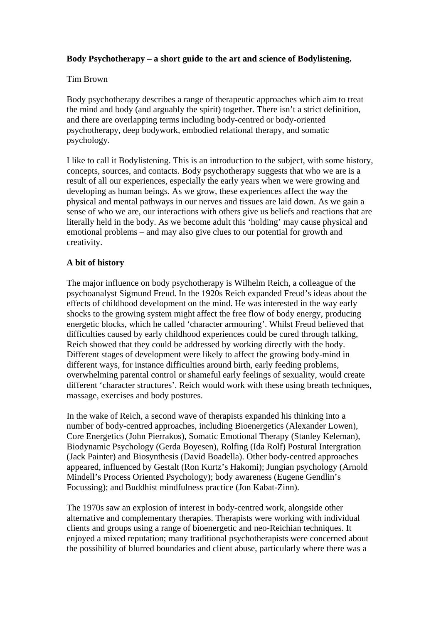# **Body Psychotherapy – a short guide to the art and science of Bodylistening.**

#### Tim Brown

Body psychotherapy describes a range of therapeutic approaches which aim to treat the mind and body (and arguably the spirit) together. There isn't a strict definition, and there are overlapping terms including body-centred or body-oriented psychotherapy, deep bodywork, embodied relational therapy, and somatic psychology.

I like to call it Bodylistening. This is an introduction to the subject, with some history, concepts, sources, and contacts. Body psychotherapy suggests that who we are is a result of all our experiences, especially the early years when we were growing and developing as human beings. As we grow, these experiences affect the way the physical and mental pathways in our nerves and tissues are laid down. As we gain a sense of who we are, our interactions with others give us beliefs and reactions that are literally held in the body. As we become adult this 'holding' may cause physical and emotional problems – and may also give clues to our potential for growth and creativity.

# **A bit of history**

The major influence on body psychotherapy is Wilhelm Reich, a colleague of the psychoanalyst Sigmund Freud. In the 1920s Reich expanded Freud's ideas about the effects of childhood development on the mind. He was interested in the way early shocks to the growing system might affect the free flow of body energy, producing energetic blocks, which he called 'character armouring'. Whilst Freud believed that difficulties caused by early childhood experiences could be cured through talking, Reich showed that they could be addressed by working directly with the body. Different stages of development were likely to affect the growing body-mind in different ways, for instance difficulties around birth, early feeding problems, overwhelming parental control or shameful early feelings of sexuality, would create different 'character structures'. Reich would work with these using breath techniques, massage, exercises and body postures.

In the wake of Reich, a second wave of therapists expanded his thinking into a number of body-centred approaches, including Bioenergetics (Alexander Lowen), Core Energetics (John Pierrakos), Somatic Emotional Therapy (Stanley Keleman), Biodynamic Psychology (Gerda Boyesen), Rolfing (Ida Rolf) Postural Intergration (Jack Painter) and Biosynthesis (David Boadella). Other body-centred approaches appeared, influenced by Gestalt (Ron Kurtz's Hakomi); Jungian psychology (Arnold Mindell's Process Oriented Psychology); body awareness (Eugene Gendlin's Focussing); and Buddhist mindfulness practice (Jon Kabat-Zinn).

The 1970s saw an explosion of interest in body-centred work, alongside other alternative and complementary therapies. Therapists were working with individual clients and groups using a range of bioenergetic and neo-Reichian techniques. It enjoyed a mixed reputation; many traditional psychotherapists were concerned about the possibility of blurred boundaries and client abuse, particularly where there was a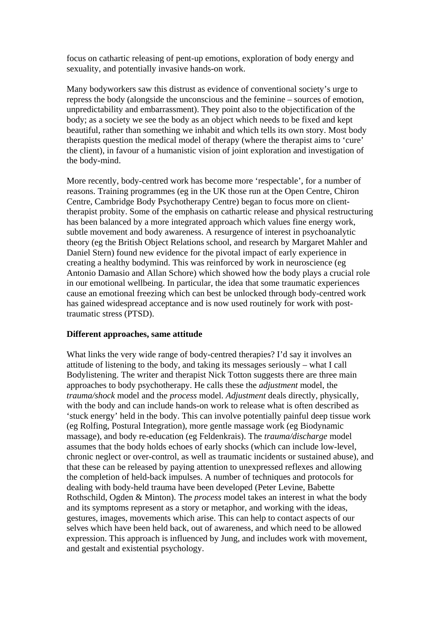focus on cathartic releasing of pent-up emotions, exploration of body energy and sexuality, and potentially invasive hands-on work.

Many bodyworkers saw this distrust as evidence of conventional society's urge to repress the body (alongside the unconscious and the feminine – sources of emotion, unpredictability and embarrassment). They point also to the objectification of the body; as a society we see the body as an object which needs to be fixed and kept beautiful, rather than something we inhabit and which tells its own story. Most body therapists question the medical model of therapy (where the therapist aims to 'cure' the client), in favour of a humanistic vision of joint exploration and investigation of the body-mind.

More recently, body-centred work has become more 'respectable', for a number of reasons. Training programmes (eg in the UK those run at the Open Centre, Chiron Centre, Cambridge Body Psychotherapy Centre) began to focus more on clienttherapist probity. Some of the emphasis on cathartic release and physical restructuring has been balanced by a more integrated approach which values fine energy work, subtle movement and body awareness. A resurgence of interest in psychoanalytic theory (eg the British Object Relations school, and research by Margaret Mahler and Daniel Stern) found new evidence for the pivotal impact of early experience in creating a healthy bodymind. This was reinforced by work in neuroscience (eg Antonio Damasio and Allan Schore) which showed how the body plays a crucial role in our emotional wellbeing. In particular, the idea that some traumatic experiences cause an emotional freezing which can best be unlocked through body-centred work has gained widespread acceptance and is now used routinely for work with posttraumatic stress (PTSD).

# **Different approaches, same attitude**

What links the very wide range of body-centred therapies? I'd say it involves an attitude of listening to the body, and taking its messages seriously – what I call Bodylistening. The writer and therapist Nick Totton suggests there are three main approaches to body psychotherapy. He calls these the *adjustment* model, the *trauma/shock* model and the *process* model. *Adjustment* deals directly, physically, with the body and can include hands-on work to release what is often described as 'stuck energy' held in the body. This can involve potentially painful deep tissue work (eg Rolfing, Postural Integration), more gentle massage work (eg Biodynamic massage), and body re-education (eg Feldenkrais). The *trauma/discharge* model assumes that the body holds echoes of early shocks (which can include low-level, chronic neglect or over-control, as well as traumatic incidents or sustained abuse), and that these can be released by paying attention to unexpressed reflexes and allowing the completion of held-back impulses. A number of techniques and protocols for dealing with body-held trauma have been developed (Peter Levine, Babette Rothschild, Ogden & Minton). The *process* model takes an interest in what the body and its symptoms represent as a story or metaphor, and working with the ideas, gestures, images, movements which arise. This can help to contact aspects of our selves which have been held back, out of awareness, and which need to be allowed expression. This approach is influenced by Jung, and includes work with movement, and gestalt and existential psychology.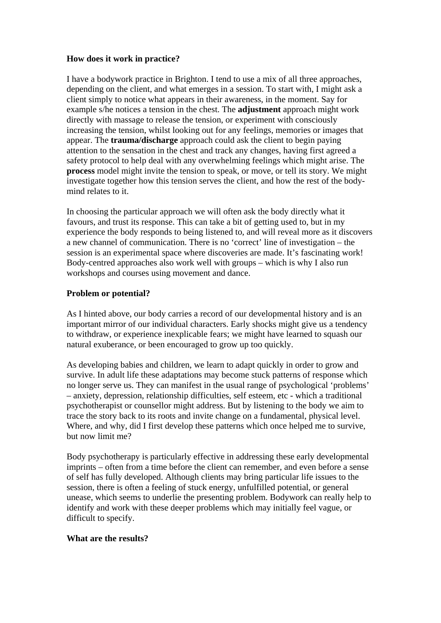## **How does it work in practice?**

I have a bodywork practice in Brighton. I tend to use a mix of all three approaches, depending on the client, and what emerges in a session. To start with, I might ask a client simply to notice what appears in their awareness, in the moment. Say for example s/he notices a tension in the chest. The **adjustment** approach might work directly with massage to release the tension, or experiment with consciously increasing the tension, whilst looking out for any feelings, memories or images that appear. The **trauma/discharge** approach could ask the client to begin paying attention to the sensation in the chest and track any changes, having first agreed a safety protocol to help deal with any overwhelming feelings which might arise. The **process** model might invite the tension to speak, or move, or tell its story. We might investigate together how this tension serves the client, and how the rest of the bodymind relates to it.

In choosing the particular approach we will often ask the body directly what it favours, and trust its response. This can take a bit of getting used to, but in my experience the body responds to being listened to, and will reveal more as it discovers a new channel of communication. There is no 'correct' line of investigation – the session is an experimental space where discoveries are made. It's fascinating work! Body-centred approaches also work well with groups – which is why I also run workshops and courses using movement and dance.

## **Problem or potential?**

As I hinted above, our body carries a record of our developmental history and is an important mirror of our individual characters. Early shocks might give us a tendency to withdraw, or experience inexplicable fears; we might have learned to squash our natural exuberance, or been encouraged to grow up too quickly.

As developing babies and children, we learn to adapt quickly in order to grow and survive. In adult life these adaptations may become stuck patterns of response which no longer serve us. They can manifest in the usual range of psychological 'problems' – anxiety, depression, relationship difficulties, self esteem, etc - which a traditional psychotherapist or counsellor might address. But by listening to the body we aim to trace the story back to its roots and invite change on a fundamental, physical level. Where, and why, did I first develop these patterns which once helped me to survive, but now limit me?

Body psychotherapy is particularly effective in addressing these early developmental imprints – often from a time before the client can remember, and even before a sense of self has fully developed. Although clients may bring particular life issues to the session, there is often a feeling of stuck energy, unfulfilled potential, or general unease, which seems to underlie the presenting problem. Bodywork can really help to identify and work with these deeper problems which may initially feel vague, or difficult to specify.

# **What are the results?**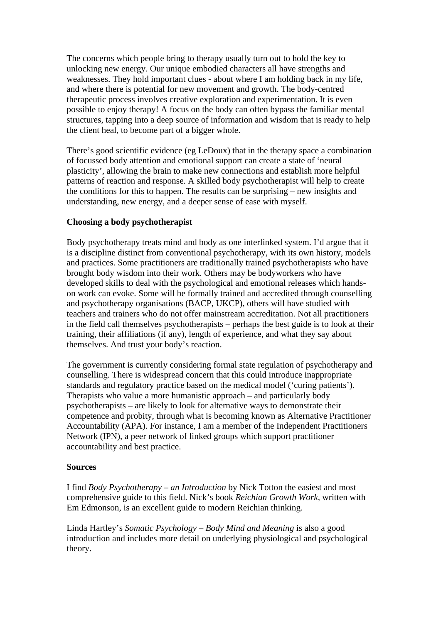The concerns which people bring to therapy usually turn out to hold the key to unlocking new energy. Our unique embodied characters all have strengths and weaknesses. They hold important clues - about where I am holding back in my life, and where there is potential for new movement and growth. The body-centred therapeutic process involves creative exploration and experimentation. It is even possible to enjoy therapy! A focus on the body can often bypass the familiar mental structures, tapping into a deep source of information and wisdom that is ready to help the client heal, to become part of a bigger whole.

There's good scientific evidence (eg LeDoux) that in the therapy space a combination of focussed body attention and emotional support can create a state of 'neural plasticity', allowing the brain to make new connections and establish more helpful patterns of reaction and response. A skilled body psychotherapist will help to create the conditions for this to happen. The results can be surprising – new insights and understanding, new energy, and a deeper sense of ease with myself.

## **Choosing a body psychotherapist**

Body psychotherapy treats mind and body as one interlinked system. I'd argue that it is a discipline distinct from conventional psychotherapy, with its own history, models and practices. Some practitioners are traditionally trained psychotherapists who have brought body wisdom into their work. Others may be bodyworkers who have developed skills to deal with the psychological and emotional releases which handson work can evoke. Some will be formally trained and accredited through counselling and psychotherapy organisations (BACP, UKCP), others will have studied with teachers and trainers who do not offer mainstream accreditation. Not all practitioners in the field call themselves psychotherapists – perhaps the best guide is to look at their training, their affiliations (if any), length of experience, and what they say about themselves. And trust your body's reaction.

The government is currently considering formal state regulation of psychotherapy and counselling. There is widespread concern that this could introduce inappropriate standards and regulatory practice based on the medical model ('curing patients'). Therapists who value a more humanistic approach – and particularly body psychotherapists – are likely to look for alternative ways to demonstrate their competence and probity, through what is becoming known as Alternative Practitioner Accountability (APA). For instance, I am a member of the Independent Practitioners Network (IPN), a peer network of linked groups which support practitioner accountability and best practice.

#### **Sources**

I find *Body Psychotherapy – an Introduction* by Nick Totton the easiest and most comprehensive guide to this field. Nick's book *Reichian Growth Work,* written with Em Edmonson, is an excellent guide to modern Reichian thinking.

Linda Hartley's *Somatic Psychology – Body Mind and Meaning* is also a good introduction and includes more detail on underlying physiological and psychological theory.